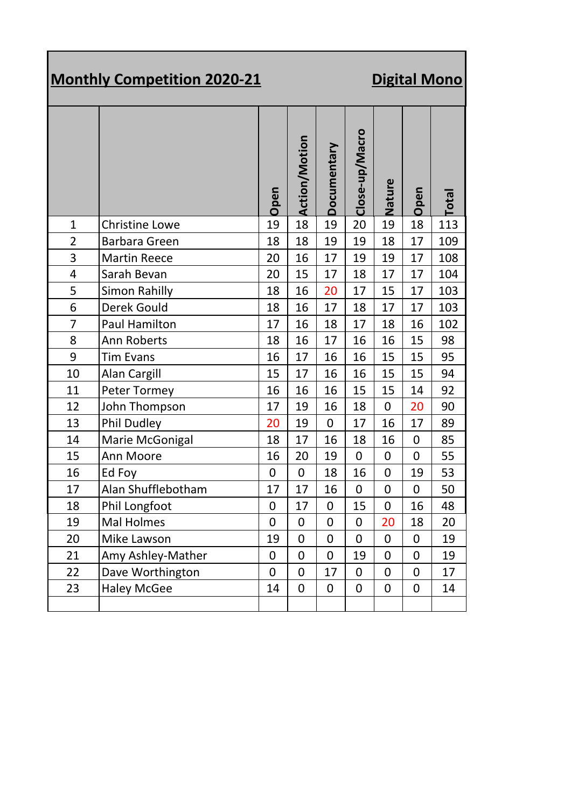## **Monthly Competition 2020-21** Digital Mono

|                |                       | Open        | <b>Action/Motion</b> | Documentary    | Close-up/Macro   | Nature           | Open        | Total |
|----------------|-----------------------|-------------|----------------------|----------------|------------------|------------------|-------------|-------|
| $\mathbf{1}$   | <b>Christine Lowe</b> | 19          | 18                   | 19             | 20               | 19               | 18          | 113   |
| $\overline{2}$ | <b>Barbara Green</b>  | 18          | 18                   | 19             | 19               | 18               | 17          | 109   |
| 3              | <b>Martin Reece</b>   | 20          | 16                   | 17             | 19               | 19               | 17          | 108   |
| 4              | Sarah Bevan           | 20          | 15                   | 17             | 18               | 17               | 17          | 104   |
| 5              | <b>Simon Rahilly</b>  | 18          | 16                   | 20             | 17               | 15               | 17          | 103   |
| 6              | Derek Gould           | 18          | 16                   | 17             | 18               | 17               | 17          | 103   |
| $\overline{7}$ | <b>Paul Hamilton</b>  | 17          | 16                   | 18             | 17               | 18               | 16          | 102   |
| 8              | Ann Roberts           | 18          | 16                   | 17             | 16               | 16               | 15          | 98    |
| 9              | <b>Tim Evans</b>      | 16          | 17                   | 16             | 16               | 15               | 15          | 95    |
| 10             | Alan Cargill          | 15          | 17                   | 16             | 16               | 15               | 15          | 94    |
| 11             | Peter Tormey          | 16          | 16                   | 16             | 15               | 15               | 14          | 92    |
| 12             | John Thompson         | 17          | 19                   | 16             | 18               | $\mathbf 0$      | 20          | 90    |
| 13             | <b>Phil Dudley</b>    | 20          | 19                   | $\mathbf 0$    | 17               | 16               | 17          | 89    |
| 14             | Marie McGonigal       | 18          | 17                   | 16             | 18               | 16               | 0           | 85    |
| 15             | Ann Moore             | 16          | 20                   | 19             | $\mathbf 0$      | $\boldsymbol{0}$ | $\mathbf 0$ | 55    |
| 16             | Ed Foy                | $\mathbf 0$ | $\mathbf 0$          | 18             | 16               | $\mathbf 0$      | 19          | 53    |
| 17             | Alan Shufflebotham    | 17          | 17                   | 16             | 0                | $\mathbf 0$      | $\mathbf 0$ | 50    |
| 18             | Phil Longfoot         | $\mathbf 0$ | 17                   | $\mathbf 0$    | 15               | $\mathbf 0$      | 16          | 48    |
| 19             | <b>Mal Holmes</b>     | $\mathbf 0$ | $\mathbf 0$          | $\mathbf 0$    | $\boldsymbol{0}$ | 20               | 18          | 20    |
| 20             | Mike Lawson           | 19          | $\mathbf 0$          | $\overline{0}$ | $\mathbf 0$      | $\overline{0}$   | $\mathbf 0$ | 19    |
| 21             | Amy Ashley-Mather     | 0           | 0                    | $\mathbf 0$    | 19               | 0                | 0           | 19    |
| 22             | Dave Worthington      | 0           | 0                    | 17             | 0                | $\overline{0}$   | 0           | 17    |
| 23             | <b>Haley McGee</b>    | 14          | 0                    | 0              | 0                | 0                | 0           | 14    |
|                |                       |             |                      |                |                  |                  |             |       |